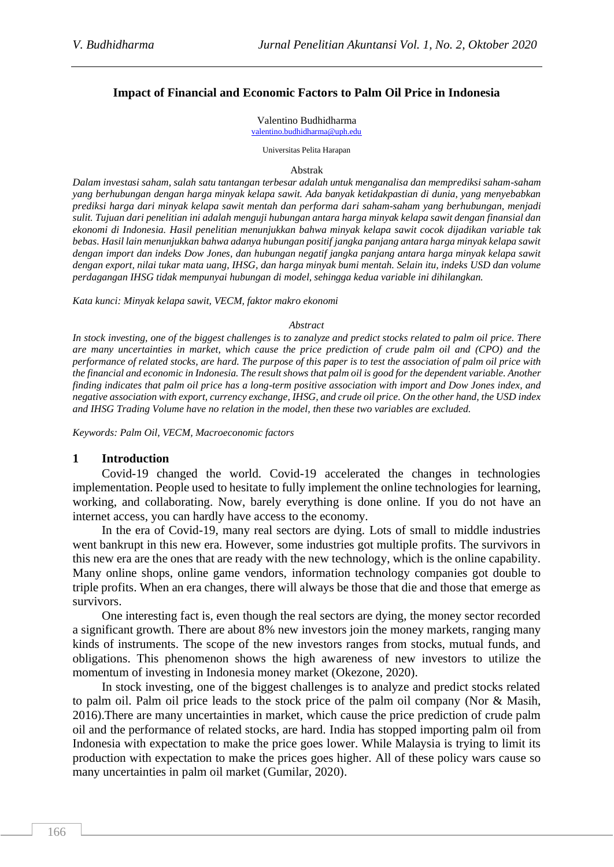#### **Impact of Financial and Economic Factors to Palm Oil Price in Indonesia**

#### Valentino Budhidharma

[valentino.budhidharma@uph.edu](mailto:valentino.budhidharma@uph.edu)

Universitas Pelita Harapan

#### Abstrak

*Dalam investasi saham, salah satu tantangan terbesar adalah untuk menganalisa dan memprediksi saham-saham yang berhubungan dengan harga minyak kelapa sawit. Ada banyak ketidakpastian di dunia, yang menyebabkan prediksi harga dari minyak kelapa sawit mentah dan performa dari saham-saham yang berhubungan, menjadi sulit. Tujuan dari penelitian ini adalah menguji hubungan antara harga minyak kelapa sawit dengan finansial dan ekonomi di Indonesia. Hasil penelitian menunjukkan bahwa minyak kelapa sawit cocok dijadikan variable tak bebas. Hasil lain menunjukkan bahwa adanya hubungan positif jangka panjang antara harga minyak kelapa sawit dengan import dan indeks Dow Jones, dan hubungan negatif jangka panjang antara harga minyak kelapa sawit dengan export, nilai tukar mata uang, IHSG, dan harga minyak bumi mentah. Selain itu, indeks USD dan volume perdagangan IHSG tidak mempunyai hubungan di model, sehingga kedua variable ini dihilangkan.*

*Kata kunci: Minyak kelapa sawit, VECM, faktor makro ekonomi*

#### *Abstract*

*In stock investing, one of the biggest challenges is to zanalyze and predict stocks related to palm oil price. There are many uncertainties in market, which cause the price prediction of crude palm oil and (CPO) and the performance of related stocks, are hard. The purpose of this paper is to test the association of palm oil price with the financial and economic in Indonesia. The result shows that palm oil is good for the dependent variable. Another finding indicates that palm oil price has a long-term positive association with import and Dow Jones index, and negative association with export, currency exchange, IHSG, and crude oil price. On the other hand, the USD index and IHSG Trading Volume have no relation in the model, then these two variables are excluded.* 

*Keywords: Palm Oil, VECM, Macroeconomic factors*

#### **1 Introduction**

Covid-19 changed the world. Covid-19 accelerated the changes in technologies implementation. People used to hesitate to fully implement the online technologies for learning, working, and collaborating. Now, barely everything is done online. If you do not have an internet access, you can hardly have access to the economy.

In the era of Covid-19, many real sectors are dying. Lots of small to middle industries went bankrupt in this new era. However, some industries got multiple profits. The survivors in this new era are the ones that are ready with the new technology, which is the online capability. Many online shops, online game vendors, information technology companies got double to triple profits. When an era changes, there will always be those that die and those that emerge as survivors.

One interesting fact is, even though the real sectors are dying, the money sector recorded a significant growth. There are about 8% new investors join the money markets, ranging many kinds of instruments. The scope of the new investors ranges from stocks, mutual funds, and obligations. This phenomenon shows the high awareness of new investors to utilize the momentum of investing in Indonesia money market (Okezone, 2020).

In stock investing, one of the biggest challenges is to analyze and predict stocks related to palm oil. Palm oil price leads to the stock price of the palm oil company (Nor & Masih, 2016).There are many uncertainties in market, which cause the price prediction of crude palm oil and the performance of related stocks, are hard. India has stopped importing palm oil from Indonesia with expectation to make the price goes lower. While Malaysia is trying to limit its production with expectation to make the prices goes higher. All of these policy wars cause so many uncertainties in palm oil market (Gumilar, 2020).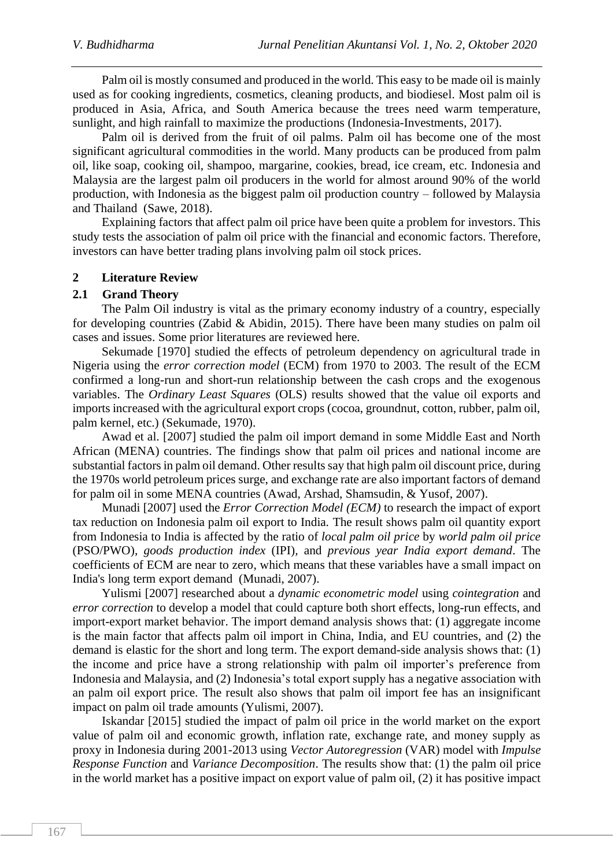Palm oil is mostly consumed and produced in the world. This easy to be made oil is mainly used as for cooking ingredients, cosmetics, cleaning products, and biodiesel. Most palm oil is produced in Asia, Africa, and South America because the trees need warm temperature, sunlight, and high rainfall to maximize the productions (Indonesia-Investments, 2017).

Palm oil is derived from the fruit of oil palms. Palm oil has become one of the most significant agricultural commodities in the world. Many products can be produced from palm oil, like soap, cooking oil, shampoo, margarine, cookies, bread, ice cream, etc. Indonesia and Malaysia are the largest palm oil producers in the world for almost around 90% of the world production, with Indonesia as the biggest palm oil production country – followed by Malaysia and Thailand (Sawe, 2018).

Explaining factors that affect palm oil price have been quite a problem for investors. This study tests the association of palm oil price with the financial and economic factors. Therefore, investors can have better trading plans involving palm oil stock prices.

## **2 Literature Review**

## **2.1 Grand Theory**

The Palm Oil industry is vital as the primary economy industry of a country, especially for developing countries (Zabid & Abidin, 2015). There have been many studies on palm oil cases and issues. Some prior literatures are reviewed here.

Sekumade [1970] studied the effects of petroleum dependency on agricultural trade in Nigeria using the *error correction model* (ECM) from 1970 to 2003. The result of the ECM confirmed a long-run and short-run relationship between the cash crops and the exogenous variables. The *Ordinary Least Squares* (OLS) results showed that the value oil exports and imports increased with the agricultural export crops (cocoa, groundnut, cotton, rubber, palm oil, palm kernel, etc.) (Sekumade, 1970).

Awad et al. [2007] studied the palm oil import demand in some Middle East and North African (MENA) countries. The findings show that palm oil prices and national income are substantial factors in palm oil demand. Other results say that high palm oil discount price, during the 1970s world petroleum prices surge, and exchange rate are also important factors of demand for palm oil in some MENA countries (Awad, Arshad, Shamsudin, & Yusof, 2007).

Munadi [2007] used the *Error Correction Model (ECM)* to research the impact of export tax reduction on Indonesia palm oil export to India. The result shows palm oil quantity export from Indonesia to India is affected by the ratio of *local palm oil price* by *world palm oil price* (PSO/PWO), *goods production index* (IPI)*,* and *previous year India export demand*. The coefficients of ECM are near to zero, which means that these variables have a small impact on India's long term export demand (Munadi, 2007).

Yulismi [2007] researched about a *dynamic econometric model* using *cointegration* and *error correction* to develop a model that could capture both short effects, long-run effects, and import-export market behavior. The import demand analysis shows that: (1) aggregate income is the main factor that affects palm oil import in China, India, and EU countries, and (2) the demand is elastic for the short and long term. The export demand-side analysis shows that: (1) the income and price have a strong relationship with palm oil importer's preference from Indonesia and Malaysia, and (2) Indonesia's total export supply has a negative association with an palm oil export price. The result also shows that palm oil import fee has an insignificant impact on palm oil trade amounts (Yulismi, 2007).

Iskandar [2015] studied the impact of palm oil price in the world market on the export value of palm oil and economic growth, inflation rate, exchange rate, and money supply as proxy in Indonesia during 2001-2013 using *Vector Autoregression* (VAR) model with *Impulse Response Function* and *Variance Decomposition*. The results show that: (1) the palm oil price in the world market has a positive impact on export value of palm oil, (2) it has positive impact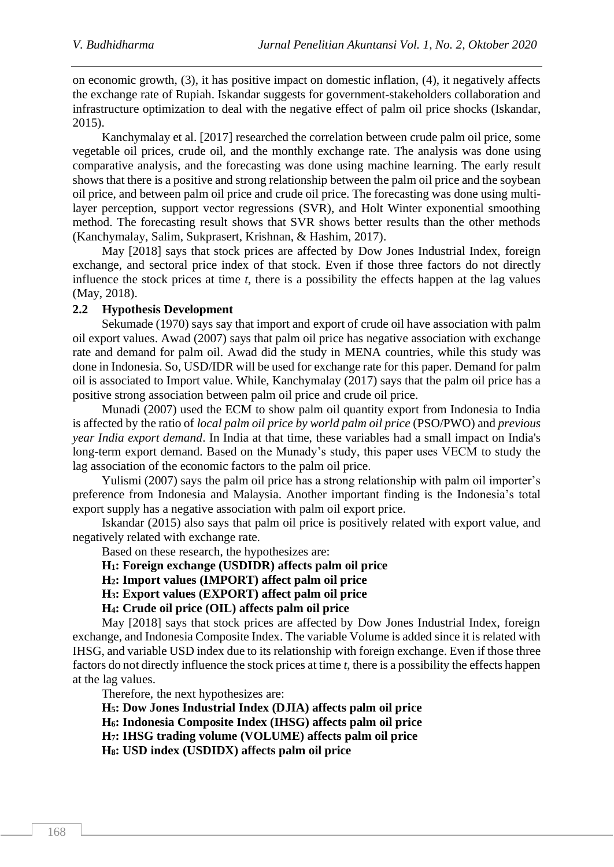on economic growth, (3), it has positive impact on domestic inflation, (4), it negatively affects the exchange rate of Rupiah. Iskandar suggests for government-stakeholders collaboration and infrastructure optimization to deal with the negative effect of palm oil price shocks (Iskandar, 2015).

Kanchymalay et al. [2017] researched the correlation between crude palm oil price, some vegetable oil prices, crude oil, and the monthly exchange rate. The analysis was done using comparative analysis, and the forecasting was done using machine learning. The early result shows that there is a positive and strong relationship between the palm oil price and the soybean oil price, and between palm oil price and crude oil price. The forecasting was done using multilayer perception, support vector regressions (SVR), and Holt Winter exponential smoothing method. The forecasting result shows that SVR shows better results than the other methods (Kanchymalay, Salim, Sukprasert, Krishnan, & Hashim, 2017).

May [2018] says that stock prices are affected by Dow Jones Industrial Index, foreign exchange, and sectoral price index of that stock. Even if those three factors do not directly influence the stock prices at time *t*, there is a possibility the effects happen at the lag values (May, 2018).

## **2.2 Hypothesis Development**

Sekumade (1970) says say that import and export of crude oil have association with palm oil export values. Awad (2007) says that palm oil price has negative association with exchange rate and demand for palm oil. Awad did the study in MENA countries, while this study was done in Indonesia. So, USD/IDR will be used for exchange rate for this paper. Demand for palm oil is associated to Import value. While, Kanchymalay (2017) says that the palm oil price has a positive strong association between palm oil price and crude oil price.

Munadi (2007) used the ECM to show palm oil quantity export from Indonesia to India is affected by the ratio of *local palm oil price by world palm oil price* (PSO/PWO) and *previous year India export demand*. In India at that time, these variables had a small impact on India's long-term export demand. Based on the Munady's study, this paper uses VECM to study the lag association of the economic factors to the palm oil price.

Yulismi (2007) says the palm oil price has a strong relationship with palm oil importer's preference from Indonesia and Malaysia. Another important finding is the Indonesia's total export supply has a negative association with palm oil export price.

Iskandar (2015) also says that palm oil price is positively related with export value, and negatively related with exchange rate.

Based on these research, the hypothesizes are:

**H1: Foreign exchange (USDIDR) affects palm oil price**

**H2: Import values (IMPORT) affect palm oil price**

**H3: Export values (EXPORT) affect palm oil price**

**H4: Crude oil price (OIL) affects palm oil price**

May [2018] says that stock prices are affected by Dow Jones Industrial Index, foreign exchange, and Indonesia Composite Index. The variable Volume is added since it is related with IHSG, and variable USD index due to its relationship with foreign exchange. Even if those three factors do not directly influence the stock prices at time *t*, there is a possibility the effects happen at the lag values.

Therefore, the next hypothesizes are:

**H5: Dow Jones Industrial Index (DJIA) affects palm oil price**

**H6: Indonesia Composite Index (IHSG) affects palm oil price**

**H7: IHSG trading volume (VOLUME) affects palm oil price**

**H8: USD index (USDIDX) affects palm oil price**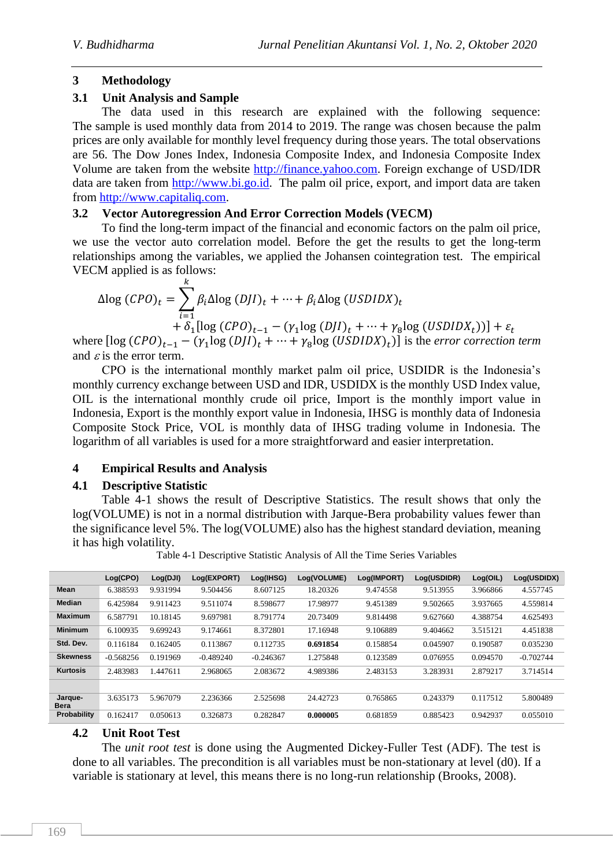# **3 Methodology**

# **3.1 Unit Analysis and Sample**

The data used in this research are explained with the following sequence: The sample is used monthly data from 2014 to 2019. The range was chosen because the palm prices are only available for monthly level frequency during those years. The total observations are 56. The Dow Jones Index, Indonesia Composite Index, and Indonesia Composite Index Volume are taken from the website [http://finance.yahoo.com.](http://finance.yahoo.com/) Foreign exchange of USD/IDR data are taken from [http://www.bi.go.id.](http://www.bi.go.id/) The palm oil price, export, and import data are taken from [http://www.capitaliq.com.](http://www.capitaliq.com/)

# **3.2 Vector Autoregression And Error Correction Models (VECM)**

To find the long-term impact of the financial and economic factors on the palm oil price, we use the vector auto correlation model. Before the get the results to get the long-term relationships among the variables, we applied the Johansen cointegration test. The empirical VECM applied is as follows:

$$
\Delta \log (CPO)_t = \sum_{i=1}^k \beta_i \Delta \log (DJI)_t + \dots + \beta_i \Delta \log (USDIDX)_t
$$
  
+  $\delta_1 [\log (CPO)_{t-1} - (\gamma_1 \log (DJI)_t + \dots + \gamma_8 \log (USDIDX_t))] + \varepsilon_t$ 

where  $[\log (CPO)_{t-1} - (\gamma_1 \log (DJI)_t + \cdots + \gamma_8 \log (USDIDX)_t)]$  is the *error correction term* and  $\varepsilon$  is the error term.

CPO is the international monthly market palm oil price, USDIDR is the Indonesia's monthly currency exchange between USD and IDR, USDIDX is the monthly USD Index value, OIL is the international monthly crude oil price, Import is the monthly import value in Indonesia, Export is the monthly export value in Indonesia, IHSG is monthly data of Indonesia Composite Stock Price, VOL is monthly data of IHSG trading volume in Indonesia. The logarithm of all variables is used for a more straightforward and easier interpretation.

# **4 Empirical Results and Analysis**

# **4.1 Descriptive Statistic**

Table 4-1 shows the result of Descriptive Statistics. The result shows that only the log(VOLUME) is not in a normal distribution with Jarque-Bera probability values fewer than the significance level 5%. The log(VOLUME) also has the highest standard deviation, meaning it has high volatility.

Table 4-1 Descriptive Statistic Analysis of All the Time Series Variables

|                        | Log(CPO)    | Log(DJI) | Log(EXPORT) | Log(IHSG)   | Log(VOLUME) | Log(IMPORT) | Log(USDIDR) | Log(OIL) | Log(USDIDX) |
|------------------------|-------------|----------|-------------|-------------|-------------|-------------|-------------|----------|-------------|
| Mean                   | 6.388593    | 9.931994 | 9.504456    | 8.607125    | 18.20326    | 9.474558    | 9.513955    | 3.966866 | 4.557745    |
| Median                 | 6.425984    | 9.911423 | 9.511074    | 8.598677    | 17.98977    | 9.451389    | 9.502665    | 3.937665 | 4.559814    |
| <b>Maximum</b>         | 6.587791    | 10.18145 | 9.697981    | 8.791774    | 20.73409    | 9.814498    | 9.627660    | 4.388754 | 4.625493    |
| <b>Minimum</b>         | 6.100935    | 9.699243 | 9.174661    | 8.372801    | 17.16948    | 9.106889    | 9.404662    | 3.515121 | 4.451838    |
| Std. Dev.              | 0.116184    | 0.162405 | 0.113867    | 0.112735    | 0.691854    | 0.158854    | 0.045907    | 0.190587 | 0.035230    |
| <b>Skewness</b>        | $-0.568256$ | 0.191969 | $-0.489240$ | $-0.246367$ | 1.275848    | 0.123589    | 0.076955    | 0.094570 | $-0.702744$ |
| Kurtosis               | 2.483983    | 1.447611 | 2.968065    | 2.083672    | 4.989386    | 2.483153    | 3.283931    | 2.879217 | 3.714514    |
|                        |             |          |             |             |             |             |             |          |             |
| Jarque-<br><b>Bera</b> | 3.635173    | 5.967079 | 2.236366    | 2.525698    | 24.42723    | 0.765865    | 0.243379    | 0.117512 | 5.800489    |
| Probability            | 0.162417    | 0.050613 | 0.326873    | 0.282847    | 0.000005    | 0.681859    | 0.885423    | 0.942937 | 0.055010    |

## **4.2 Unit Root Test**

The *unit root test* is done using the Augmented Dickey-Fuller Test (ADF). The test is done to all variables. The precondition is all variables must be non-stationary at level (d0). If a variable is stationary at level, this means there is no long-run relationship (Brooks, 2008).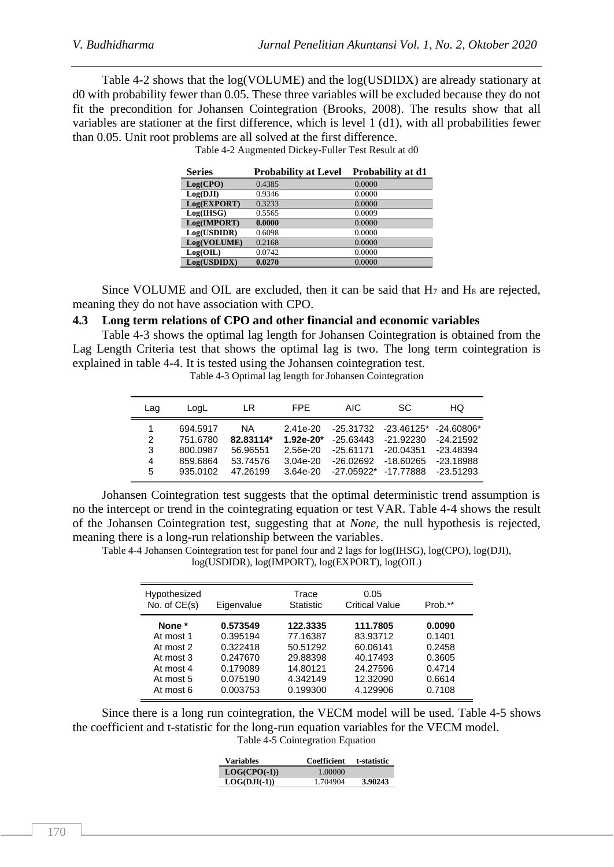Table 4-2 shows that the log(VOLUME) and the log(USDIDX) are already stationary at d0 with probability fewer than 0.05. These three variables will be excluded because they do not fit the precondition for Johansen Cointegration (Brooks, 2008). The results show that all variables are stationer at the first difference, which is level 1 (d1), with all probabilities fewer than 0.05. Unit root problems are all solved at the first difference.

| <b>Series</b> | <b>Probability at Level</b> | Probability at d1 |
|---------------|-----------------------------|-------------------|
| Log(CPO)      | 0.4385                      | 0.0000            |
| Log(DJI)      | 0.9346                      | 0.0000            |
| Log(EXPORT)   | 0.3233                      | 0.0000            |
| Log(HISG)     | 0.5565                      | 0.0009            |
| Log(IMPORT)   | 0.0000                      | 0.0000            |
| Log(USDIDR)   | 0.6098                      | 0.0000            |
| Log(VOLUME)   | 0.2168                      | 0.0000            |
| Log(OIL)      | 0.0742                      | 0.0000            |
| Log(USDIDX)   | 0.0270                      | 0.0000            |

Table 4-2 Augmented Dickey-Fuller Test Result at d0

Since VOLUME and OIL are excluded, then it can be said that  $H_7$  and  $H_8$  are rejected, meaning they do not have association with CPO.

#### **4.3 Long term relations of CPO and other financial and economic variables**

Table 4-3 shows the optimal lag length for Johansen Cointegration is obtained from the Lag Length Criteria test that shows the optimal lag is two. The long term cointegration is explained in table 4-4. It is tested using the Johansen cointegration test.

Table 4-3 Optimal lag length for Johansen Cointegration

| Lag              | LogL                                         | LR                                             | FPF.                                                | AIC.                                                 | SC.                                                       | HQ                                                        |
|------------------|----------------------------------------------|------------------------------------------------|-----------------------------------------------------|------------------------------------------------------|-----------------------------------------------------------|-----------------------------------------------------------|
| 1<br>2<br>3<br>4 | 694.5917<br>751.6780<br>800.0987<br>859.6864 | <b>NA</b><br>82.83114*<br>56.96551<br>53.74576 | $2.41e-20$<br>$1.92e-20*$<br>2.56e-20<br>$3.04e-20$ | -25.31732<br>$-25.63443$<br>$-25.61171$<br>-26.02692 | $-23.46125*$<br>$-21.92230$<br>$-20.04351$<br>$-18.60265$ | $-24.60806*$<br>$-24.21592$<br>$-23.48394$<br>$-23.18988$ |
| 5                | 935.0102                                     | 47.26199                                       | $3.64e-20$                                          | $-27.05922*$                                         | $-17.77888$                                               | $-23.51293$                                               |

Johansen Cointegration test suggests that the optimal deterministic trend assumption is no the intercept or trend in the cointegrating equation or test VAR. Table 4-4 shows the result of the Johansen Cointegration test, suggesting that at *None,* the null hypothesis is rejected, meaning there is a long-run relationship between the variables.

Table 4-4 Johansen Cointegration test for panel four and 2 lags for log(IHSG), log(CPO), log(DJI), log(USDIDR), log(IMPORT), log(EXPORT), log(OIL)

| Hypothesized<br>No. of $CE(s)$ | Eigenvalue | Trace<br><b>Statistic</b> | 0.05<br><b>Critical Value</b> | Prob.** |
|--------------------------------|------------|---------------------------|-------------------------------|---------|
| None *                         | 0.573549   | 122.3335                  | 111.7805                      | 0.0090  |
| At most 1                      | 0.395194   | 77.16387                  | 83.93712                      | 0.1401  |
| At most 2                      | 0.322418   | 50.51292                  | 60.06141                      | 0.2458  |
| At most 3                      | 0.247670   | 29.88398                  | 40.17493                      | 0.3605  |
| At most 4                      | 0.179089   | 14.80121                  | 24.27596                      | 0.4714  |
| At most 5                      | 0.075190   | 4.342149                  | 12.32090                      | 0.6614  |
| At most 6                      | 0.003753   | 0.199300                  | 4.129906                      | 0.7108  |

Since there is a long run cointegration, the VECM model will be used. Table 4-5 shows the coefficient and t-statistic for the long-run equation variables for the VECM model. Table 4-5 Cointegration Equation

| Variables      | Coefficient | t-statistic |
|----------------|-------------|-------------|
| $LOG(CPO(-1))$ | 1.00000     |             |
| $LOG(DJI(-1))$ | 1.704904    | 3.90243     |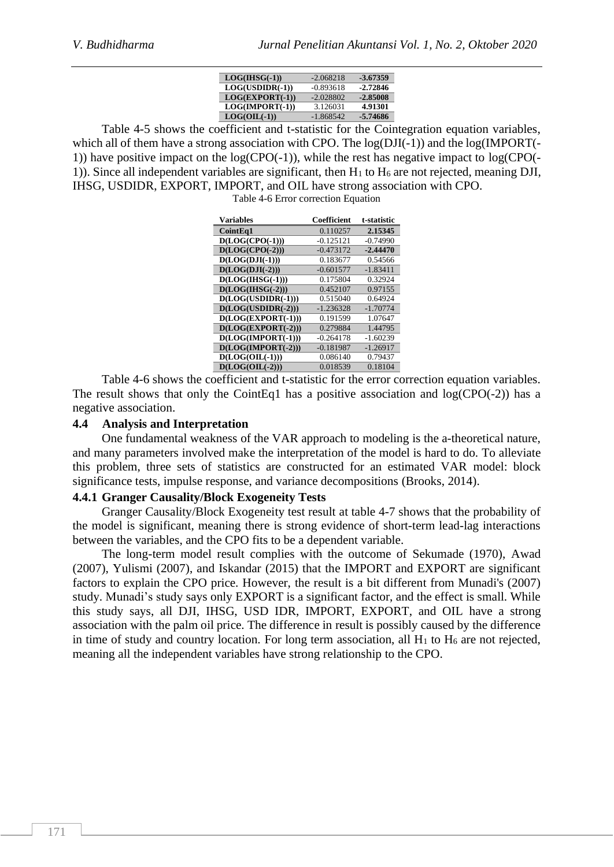| $LOG(HISG(-1))$   | $-2.068218$ | -3.67359   |
|-------------------|-------------|------------|
| $LOG(USDIDR(-1))$ | $-0.893618$ | $-2.72846$ |
| $LOG(EXPORT(-1))$ | $-2.028802$ | $-2.85008$ |
| $LOG(IMPORT(-1))$ | 3.126031    | 4.91301    |
| $LOG(OIL(-1))$    | $-1.868542$ | -5.74686   |

Table 4-5 shows the coefficient and t-statistic for the Cointegration equation variables, which all of them have a strong association with CPO. The  $log(DJI(-1))$  and the  $log(IMPORT(-))$ 1)) have positive impact on the log(CPO(-1)), while the rest has negative impact to log(CPO(- 1)). Since all independent variables are significant, then  $H_1$  to  $H_6$  are not rejected, meaning DJI, IHSG, USDIDR, EXPORT, IMPORT, and OIL have strong association with CPO.

Table 4-6 Error correction Equation

| <b>Variables</b>     | <b>Coefficient</b> | t-statistic |
|----------------------|--------------------|-------------|
| CointEq1             | 0.110257           | 2.15345     |
| $D(LOG(CPO(-1)))$    | $-0.125121$        | $-0.74990$  |
| $D(LOG(CPO(-2)))$    | $-0.473172$        | $-2.44470$  |
| $D(LOG(DJI(-1)))$    | 0.183677           | 0.54566     |
| $D(LOG(DJI(-2)))$    | $-0.601577$        | $-1.83411$  |
| $D(LOG(HISG(-1)))$   | 0.175804           | 0.32924     |
| $D(LOG(HISG(-2)))$   | 0.452107           | 0.97155     |
| $D(LOG(USDIDR(-1)))$ | 0.515040           | 0.64924     |
| $D(LOG(USDIDR(-2)))$ | $-1.236328$        | $-1.70774$  |
| $D(LOG(EXPORT(-1)))$ | 0.191599           | 1.07647     |
| $D(LOG(EXPORT(-2)))$ | 0.279884           | 1.44795     |
| D(LOG(IMPORT(-1)))   | $-0.264178$        | $-1.60239$  |
| $D(LOG(IMPORT(-2)))$ | $-0.181987$        | $-1.26917$  |
| $D(LOG(OIL(-1)))$    | 0.086140           | 0.79437     |
| $D(LOG(OIL(-2)))$    | 0.018539           | 0.18104     |

Table 4-6 shows the coefficient and t-statistic for the error correction equation variables. The result shows that only the CointEq1 has a positive association and  $log(CPO(-2))$  has a negative association.

#### **4.4 Analysis and Interpretation**

One fundamental weakness of the VAR approach to modeling is the a-theoretical nature, and many parameters involved make the interpretation of the model is hard to do. To alleviate this problem, three sets of statistics are constructed for an estimated VAR model: block significance tests, impulse response, and variance decompositions (Brooks, 2014).

#### **4.4.1 Granger Causality/Block Exogeneity Tests**

Granger Causality/Block Exogeneity test result at table 4-7 shows that the probability of the model is significant, meaning there is strong evidence of short-term lead-lag interactions between the variables, and the CPO fits to be a dependent variable.

The long-term model result complies with the outcome of Sekumade (1970), Awad (2007), Yulismi (2007), and Iskandar (2015) that the IMPORT and EXPORT are significant factors to explain the CPO price. However, the result is a bit different from Munadi's (2007) study. Munadi's study says only EXPORT is a significant factor, and the effect is small. While this study says, all DJI, IHSG, USD IDR, IMPORT, EXPORT, and OIL have a strong association with the palm oil price. The difference in result is possibly caused by the difference in time of study and country location. For long term association, all  $H_1$  to  $H_6$  are not rejected, meaning all the independent variables have strong relationship to the CPO.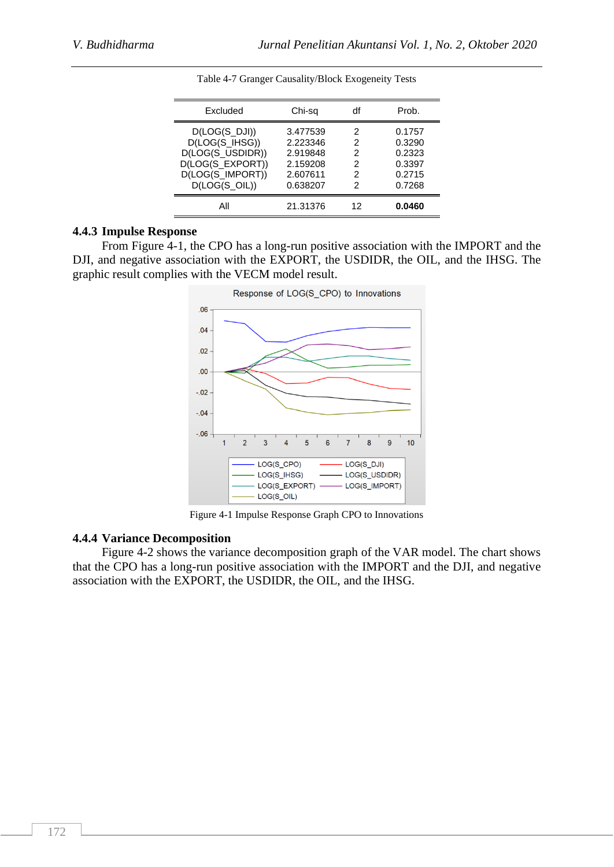| Excluded         | Chi-sq   | df | Prob.  |
|------------------|----------|----|--------|
| D(LOG(S DJI))    | 3.477539 | 2  | 0.1757 |
| D(LOG(S_IHSG))   | 2.223346 | 2  | 0.3290 |
| D(LOG(S_USDIDR)) | 2.919848 | 2  | 0.2323 |
| D(LOG(S_EXPORT)) | 2.159208 | 2  | 0.3397 |
| D(LOG(S_IMPORT)) | 2.607611 | 2  | 0.2715 |
| $D(LOG(S_OL))$   | 0.638207 | 2  | 0.7268 |
| All              | 21.31376 | 12 | 0.0460 |

Table 4-7 Granger Causality/Block Exogeneity Tests

### **4.4.3 Impulse Response**

From Figure 4-1, the CPO has a long-run positive association with the IMPORT and the DJI, and negative association with the EXPORT, the USDIDR, the OIL, and the IHSG. The graphic result complies with the VECM model result.



Figure 4-1 Impulse Response Graph CPO to Innovations

#### **4.4.4 Variance Decomposition**

Figure 4-2 shows the variance decomposition graph of the VAR model. The chart shows that the CPO has a long-run positive association with the IMPORT and the DJI, and negative association with the EXPORT, the USDIDR, the OIL, and the IHSG.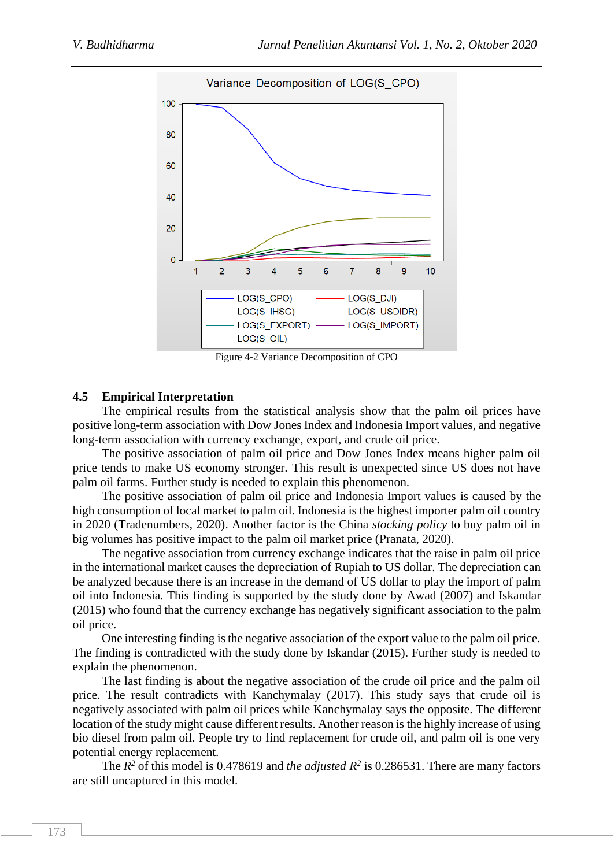

Figure 4-2 Variance Decomposition of CPO

### **4.5 Empirical Interpretation**

The empirical results from the statistical analysis show that the palm oil prices have positive long-term association with Dow Jones Index and Indonesia Import values, and negative long-term association with currency exchange, export, and crude oil price.

The positive association of palm oil price and Dow Jones Index means higher palm oil price tends to make US economy stronger. This result is unexpected since US does not have palm oil farms. Further study is needed to explain this phenomenon.

The positive association of palm oil price and Indonesia Import values is caused by the high consumption of local market to palm oil. Indonesia is the highest importer palm oil country in 2020 (Tradenumbers, 2020). Another factor is the China *stocking policy* to buy palm oil in big volumes has positive impact to the palm oil market price (Pranata, 2020).

The negative association from currency exchange indicates that the raise in palm oil price in the international market causes the depreciation of Rupiah to US dollar. The depreciation can be analyzed because there is an increase in the demand of US dollar to play the import of palm oil into Indonesia. This finding is supported by the study done by Awad (2007) and Iskandar (2015) who found that the currency exchange has negatively significant association to the palm oil price.

One interesting finding is the negative association of the export value to the palm oil price. The finding is contradicted with the study done by Iskandar (2015). Further study is needed to explain the phenomenon.

The last finding is about the negative association of the crude oil price and the palm oil price. The result contradicts with Kanchymalay (2017). This study says that crude oil is negatively associated with palm oil prices while Kanchymalay says the opposite. The different location of the study might cause different results. Another reason is the highly increase of using bio diesel from palm oil. People try to find replacement for crude oil, and palm oil is one very potential energy replacement.

The  $R^2$  of this model is 0.478619 and *the adjusted*  $R^2$  is 0.286531. There are many factors are still uncaptured in this model.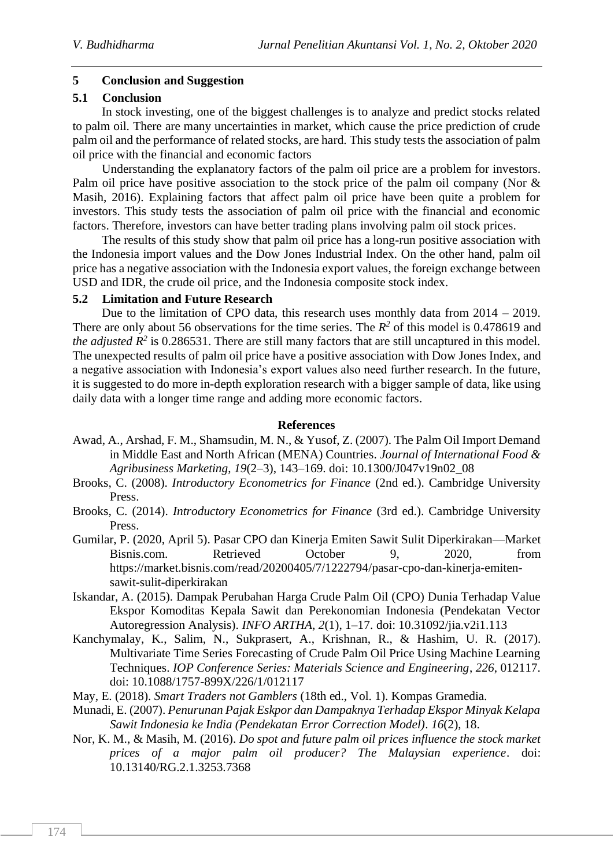## **5 Conclusion and Suggestion**

### **5.1 Conclusion**

In stock investing, one of the biggest challenges is to analyze and predict stocks related to palm oil. There are many uncertainties in market, which cause the price prediction of crude palm oil and the performance of related stocks, are hard. This study tests the association of palm oil price with the financial and economic factors

Understanding the explanatory factors of the palm oil price are a problem for investors. Palm oil price have positive association to the stock price of the palm oil company (Nor & Masih, 2016). Explaining factors that affect palm oil price have been quite a problem for investors. This study tests the association of palm oil price with the financial and economic factors. Therefore, investors can have better trading plans involving palm oil stock prices.

The results of this study show that palm oil price has a long-run positive association with the Indonesia import values and the Dow Jones Industrial Index. On the other hand, palm oil price has a negative association with the Indonesia export values, the foreign exchange between USD and IDR, the crude oil price, and the Indonesia composite stock index.

### **5.2 Limitation and Future Research**

Due to the limitation of CPO data, this research uses monthly data from 2014 – 2019. There are only about 56 observations for the time series. The  $R^2$  of this model is 0.478619 and *the adjusted*  $R^2$  is 0.286531. There are still many factors that are still uncaptured in this model. The unexpected results of palm oil price have a positive association with Dow Jones Index, and a negative association with Indonesia's export values also need further research. In the future, it is suggested to do more in-depth exploration research with a bigger sample of data, like using daily data with a longer time range and adding more economic factors.

### **References**

- Awad, A., Arshad, F. M., Shamsudin, M. N., & Yusof, Z. (2007). The Palm Oil Import Demand in Middle East and North African (MENA) Countries. *Journal of International Food & Agribusiness Marketing*, *19*(2–3), 143–169. doi: 10.1300/J047v19n02\_08
- Brooks, C. (2008). *Introductory Econometrics for Finance* (2nd ed.). Cambridge University Press.
- Brooks, C. (2014). *Introductory Econometrics for Finance* (3rd ed.). Cambridge University Press.
- Gumilar, P. (2020, April 5). Pasar CPO dan Kinerja Emiten Sawit Sulit Diperkirakan—Market Bisnis.com. Retrieved October 9, 2020, from https://market.bisnis.com/read/20200405/7/1222794/pasar-cpo-dan-kinerja-emitensawit-sulit-diperkirakan
- Iskandar, A. (2015). Dampak Perubahan Harga Crude Palm Oil (CPO) Dunia Terhadap Value Ekspor Komoditas Kepala Sawit dan Perekonomian Indonesia (Pendekatan Vector Autoregression Analysis). *INFO ARTHA*, *2*(1), 1–17. doi: 10.31092/jia.v2i1.113
- Kanchymalay, K., Salim, N., Sukprasert, A., Krishnan, R., & Hashim, U. R. (2017). Multivariate Time Series Forecasting of Crude Palm Oil Price Using Machine Learning Techniques. *IOP Conference Series: Materials Science and Engineering*, *226*, 012117. doi: 10.1088/1757-899X/226/1/012117
- May, E. (2018). *Smart Traders not Gamblers* (18th ed., Vol. 1). Kompas Gramedia.
- Munadi, E. (2007). *Penurunan Pajak Eskpor dan Dampaknya Terhadap Ekspor Minyak Kelapa Sawit Indonesia ke India (Pendekatan Error Correction Model)*. *16*(2), 18.
- Nor, K. M., & Masih, M. (2016). *Do spot and future palm oil prices influence the stock market prices of a major palm oil producer? The Malaysian experience*. doi: 10.13140/RG.2.1.3253.7368